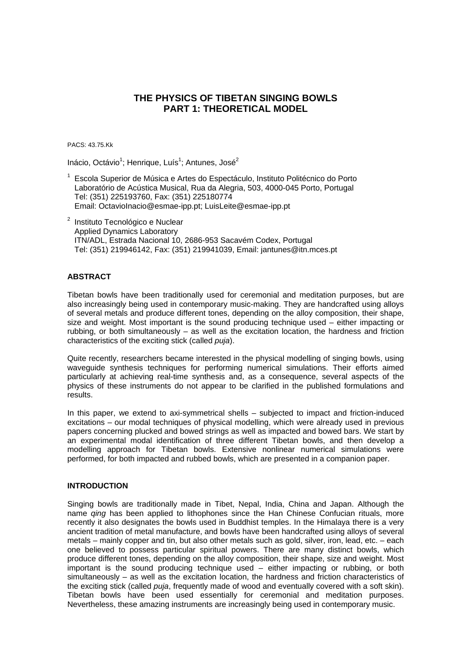# **THE PHYSICS OF TIBETAN SINGING BOWLS PART 1: THEORETICAL MODEL**

PACS: 43.75.Kk

Inácio, Octávio<sup>1</sup>; Henrique, Luís<sup>1</sup>; Antunes, José<sup>2</sup>

- <sup>1</sup> Escola Superior de Música e Artes do Espectáculo, Instituto Politécnico do Porto Laboratório de Acústica Musical, Rua da Alegria, 503, 4000-045 Porto, Portugal Tel: (351) 225193760, Fax: (351) 225180774 Email: OctavioInacio@esmae-ipp.pt; LuisLeite@esmae-ipp.pt
- $2$  Instituto Tecnológico e Nuclear Applied Dynamics Laboratory ITN/ADL, Estrada Nacional 10, 2686-953 Sacavém Codex, Portugal Tel: (351) 219946142, Fax: (351) 219941039, Email: jantunes@itn.mces.pt

## **ABSTRACT**

Tibetan bowls have been traditionally used for ceremonial and meditation purposes, but are also increasingly being used in contemporary music-making. They are handcrafted using alloys of several metals and produce different tones, depending on the alloy composition, their shape, size and weight. Most important is the sound producing technique used – either impacting or rubbing, or both simultaneously – as well as the excitation location, the hardness and friction characteristics of the exciting stick (called *puja*).

Quite recently, researchers became interested in the physical modelling of singing bowls, using waveguide synthesis techniques for performing numerical simulations. Their efforts aimed particularly at achieving real-time synthesis and, as a consequence, several aspects of the physics of these instruments do not appear to be clarified in the published formulations and results.

In this paper, we extend to axi-symmetrical shells – subjected to impact and friction-induced excitations – our modal techniques of physical modelling, which were already used in previous papers concerning plucked and bowed strings as well as impacted and bowed bars. We start by an experimental modal identification of three different Tibetan bowls, and then develop a modelling approach for Tibetan bowls. Extensive nonlinear numerical simulations were performed, for both impacted and rubbed bowls, which are presented in a companion paper.

## **INTRODUCTION**

Singing bowls are traditionally made in Tibet, Nepal, India, China and Japan. Although the name *qing* has been applied to lithophones since the Han Chinese Confucian rituals, more recently it also designates the bowls used in Buddhist temples. In the Himalaya there is a very ancient tradition of metal manufacture, and bowls have been handcrafted using alloys of several metals – mainly copper and tin, but also other metals such as gold, silver, iron, lead, etc. – each one believed to possess particular spiritual powers. There are many distinct bowls, which produce different tones, depending on the alloy composition, their shape, size and weight. Most important is the sound producing technique used – either impacting or rubbing, or both simultaneously – as well as the excitation location, the hardness and friction characteristics of the exciting stick (called *puja*, frequently made of wood and eventually covered with a soft skin). Tibetan bowls have been used essentially for ceremonial and meditation purposes. Nevertheless, these amazing instruments are increasingly being used in contemporary music.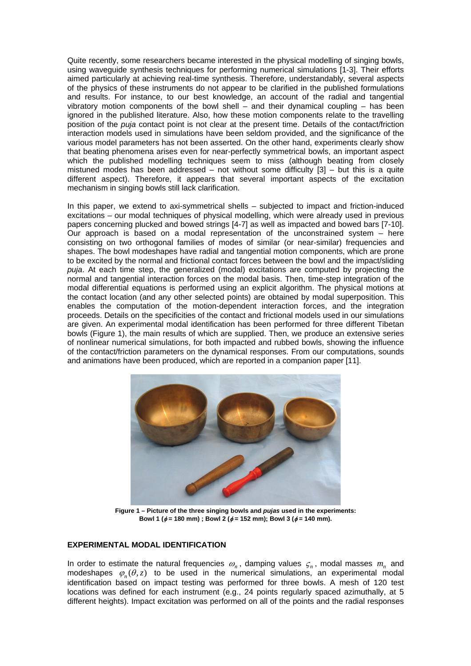Quite recently, some researchers became interested in the physical modelling of singing bowls, using waveguide synthesis techniques for performing numerical simulations [1-3]. Their efforts aimed particularly at achieving real-time synthesis. Therefore, understandably, several aspects of the physics of these instruments do not appear to be clarified in the published formulations and results. For instance, to our best knowledge, an account of the radial and tangential vibratory motion components of the bowl shell – and their dynamical coupling – has been ignored in the published literature. Also, how these motion components relate to the travelling position of the *puja* contact point is not clear at the present time. Details of the contact/friction interaction models used in simulations have been seldom provided, and the significance of the various model parameters has not been asserted. On the other hand, experiments clearly show that beating phenomena arises even for near-perfectly symmetrical bowls, an important aspect which the published modelling techniques seem to miss (although beating from closely mistuned modes has been addressed – not without some difficulty  $[3]$  – but this is a quite different aspect). Therefore, it appears that several important aspects of the excitation mechanism in singing bowls still lack clarification.

In this paper, we extend to axi-symmetrical shells – subjected to impact and friction-induced excitations – our modal techniques of physical modelling, which were already used in previous papers concerning plucked and bowed strings [4-7] as well as impacted and bowed bars [7-10]. Our approach is based on a modal representation of the unconstrained system  $-$  here consisting on two orthogonal families of modes of similar (or near-similar) frequencies and shapes. The bowl modeshapes have radial and tangential motion components, which are prone to be excited by the normal and frictional contact forces between the bowl and the impact/sliding *puja*. At each time step, the generalized (modal) excitations are computed by projecting the normal and tangential interaction forces on the modal basis. Then, time-step integration of the modal differential equations is performed using an explicit algorithm. The physical motions at the contact location (and any other selected points) are obtained by modal superposition. This enables the computation of the motion-dependent interaction forces, and the integration proceeds. Details on the specificities of the contact and frictional models used in our simulations are given. An experimental modal identification has been performed for three different Tibetan bowls (Figure 1), the main results of which are supplied. Then, we produce an extensive series of nonlinear numerical simulations, for both impacted and rubbed bowls, showing the influence of the contact/friction parameters on the dynamical responses. From our computations, sounds and animations have been produced, which are reported in a companion paper [11].



**Figure 1 – Picture of the three singing bowls and** *pujas* **used in the experiments: Bowl 1 (**φ **= 180 mm) ; Bowl 2 (**φ **= 152 mm); Bowl 3 (**φ **= 140 mm).** 

## **EXPERIMENTAL MODAL IDENTIFICATION**

In order to estimate the natural frequencies  $\omega_n$ , damping values  $\zeta_n$ , modal masses  $m_n$  and modeshapes  $\varphi_n(\theta, z)$  to be used in the numerical simulations, an experimental modal identification based on impact testing was performed for three bowls. A mesh of 120 test locations was defined for each instrument (e.g., 24 points regularly spaced azimuthally, at 5 different heights). Impact excitation was performed on all of the points and the radial responses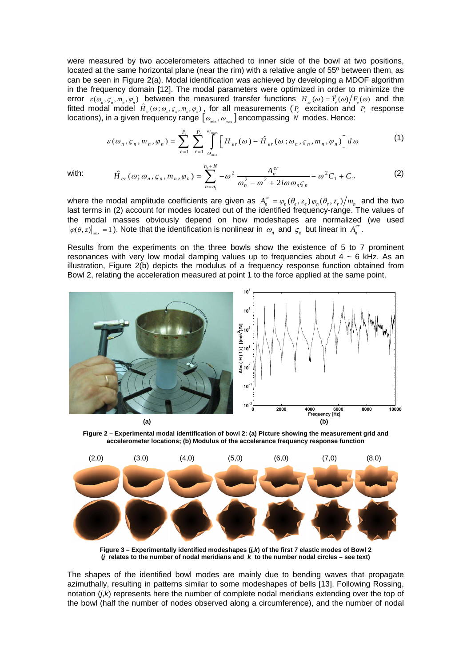were measured by two accelerometers attached to inner side of the bowl at two positions, located at the same horizontal plane (near the rim) with a relative angle of 55º between them, as can be seen in Figure 2(a). Modal identification was achieved by developing a MDOF algorithm in the frequency domain [12]. The modal parameters were optimized in order to minimize the error  $\varepsilon(\omega_n, \zeta_n, m_n, \varphi_n)$  between the measured transfer functions  $H_{\alpha}( \omega ) = \ddot{Y}_{\alpha}( \omega ) / F_{\alpha}( \omega)$  and the fitted modal model  $\hat{H}_{_{cr}}(\omega;\omega_{_{n}},\varsigma_{_{n}},m_{_{n}},\varphi_{_{n}})$ , for all measurements ( $P_{_{e}}$  excitation and  $P_{_{r}}$  response locations), in a given frequency range  $[$   $\mathcal{O}_{_{\sf min}},$   $\mathcal{O}_{_{\sf max}}]$  encompassing  $\,N\,$  modes. Hence:

$$
\varepsilon(\omega_n, \varsigma_n, m_n, \varphi_n) = \sum_{e=1}^{P_e} \sum_{r=1}^{P_r} \int_{\omega_{\min}}^{\omega_{\max}} \left[ H_{er}(\omega) - \hat{H}_{er}(\omega; \omega_n, \varsigma_n, m_n, \varphi_n) \right] d\omega \tag{1}
$$

with: 
$$
\hat{H}_{er}(\omega;\omega_n,\varsigma_n,m_n,\varphi_n) = \sum_{n=n_1}^{n_1+N} -\omega^2 \frac{A_n^{er}}{\omega_n^2 - \omega^2 + 2i\omega \omega_n \varsigma_n} - \omega^2 C_1 + C_2
$$
 (2)

where the modal amplitude coefficients are given as  $A_n^{er} = \varphi_n(\theta_e, z_e) \varphi_n(\theta_r, z_r) / m_n$  and the two last terms in (2) account for modes located out of the identified frequency-range. The values of the modal masses obviously depend on how modeshapes are normalized (we used  $\varphi(\theta, z) \big|_{\text{max}} = 1$ ). Note that the identification is nonlinear in  $\omega_n$  and  $\varsigma_n$  but linear in  $A_n^{er}$ .

Results from the experiments on the three bowls show the existence of 5 to 7 prominent resonances with very low modal damping values up to frequencies about  $4 \sim 6$  kHz. As an illustration, Figure 2(b) depicts the modulus of a frequency response function obtained from Bowl 2, relating the acceleration measured at point 1 to the force applied at the same point.



**Figure 2 – Experimental modal identification of bowl 2: (a) Picture showing the measurement grid and accelerometer locations; (b) Modulus of the accelerance frequency response function** 



**Figure 3 – Experimentally identified modeshapes (***j,k***) of the first 7 elastic modes of Bowl 2 (***j* **relates to the number of nodal meridians and** *k* **to the number nodal circles – see text)** 

The shapes of the identified bowl modes are mainly due to bending waves that propagate azimuthally, resulting in patterns similar to some modeshapes of bells [13]. Following Rossing, notation (*j*,*k*) represents here the number of complete nodal meridians extending over the top of the bowl (half the number of nodes observed along a circumference), and the number of nodal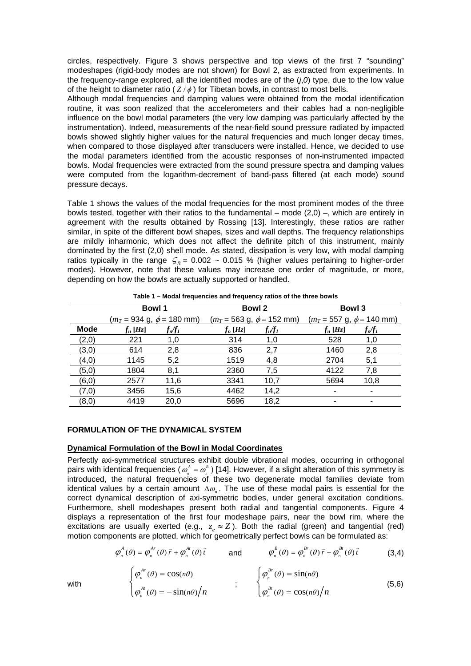circles, respectively. Figure 3 shows perspective and top views of the first 7 "sounding" modeshapes (rigid-body modes are not shown) for Bowl 2, as extracted from experiments. In the frequency-range explored, all the identified modes are of the  $(i,0)$  type, due to the low value of the height to diameter ratio  $(Z/\phi)$  for Tibetan bowls, in contrast to most bells.

Although modal frequencies and damping values were obtained from the modal identification routine, it was soon realized that the accelerometers and their cables had a non-negligible influence on the bowl modal parameters (the very low damping was particularly affected by the instrumentation). Indeed, measurements of the near-field sound pressure radiated by impacted bowls showed slightly higher values for the natural frequencies and much longer decay times, when compared to those displayed after transducers were installed. Hence, we decided to use the modal parameters identified from the acoustic responses of non-instrumented impacted bowls. Modal frequencies were extracted from the sound pressure spectra and damping values were computed from the logarithm-decrement of band-pass filtered (at each mode) sound pressure decays.

Table 1 shows the values of the modal frequencies for the most prominent modes of the three bowls tested, together with their ratios to the fundamental – mode (2,0) –, which are entirely in agreement with the results obtained by Rossing [13]. Interestingly, these ratios are rather similar, in spite of the different bowl shapes, sizes and wall depths. The frequency relationships are mildly inharmonic, which does not affect the definite pitch of this instrument, mainly dominated by the first (2,0) shell mode. As stated, dissipation is very low, with modal damping ratios typically in the range  $\zeta_n = 0.002 \sim 0.015$  % (higher values pertaining to higher-order modes). However, note that these values may increase one order of magnitude, or more, depending on how the bowls are actually supported or handled.

| rable I – Moual Hequencies and Hequency Tanos of the three bowls |                                                |                           |                                                |               |                                                |           |
|------------------------------------------------------------------|------------------------------------------------|---------------------------|------------------------------------------------|---------------|------------------------------------------------|-----------|
|                                                                  | <b>Bowl 1</b>                                  |                           | <b>Bowl 2</b>                                  |               | Bowl 3                                         |           |
|                                                                  | $(m_T = 934 \text{ g}, \phi = 180 \text{ mm})$ |                           | $(m_T = 563 \text{ g}, \phi = 152 \text{ mm})$ |               | $(m_T = 557 \text{ g}, \phi = 140 \text{ mm})$ |           |
| <b>Mode</b>                                                      | $f_n$ [Hz]                                     | $f_{\rm n}\!/\!f_{\rm 1}$ | $f_n$ [Hz]                                     | $f_n\!/\!f_1$ | $f_n$ [Hz]                                     | $f_n/f_1$ |
| (2,0)                                                            | 221                                            | 1,0                       | 314                                            | 1,0           | 528                                            | 1,0       |
| (3,0)                                                            | 614                                            | 2,8                       | 836                                            | 2,7           | 1460                                           | 2,8       |
| (4, 0)                                                           | 1145                                           | 5,2                       | 1519                                           | 4,8           | 2704                                           | 5,1       |
| (5,0)                                                            | 1804                                           | 8,1                       | 2360                                           | 7,5           | 4122                                           | 7,8       |
| (6, 0)                                                           | 2577                                           | 11,6                      | 3341                                           | 10,7          | 5694                                           | 10,8      |
| (7,0)                                                            | 3456                                           | 15,6                      | 4462                                           | 14,2          |                                                |           |
| (8, 0)                                                           | 4419                                           | 20.0                      | 5696                                           | 18,2          |                                                |           |

**Table 1 – Modal frequencies and frequency ratios of the three bowls** 

## **FORMULATION OF THE DYNAMICAL SYSTEM**

#### **Dynamical Formulation of the Bowl in Modal Coordinates**

Perfectly axi-symmetrical structures exhibit double vibrational modes, occurring in orthogonal pairs with identical frequencies (  $\omega_n^{\scriptscriptstyle A}$  =  $\omega_n^{\scriptscriptstyle B}$  ) [14]. However, if a slight alteration of this symmetry is introduced, the natural frequencies of these two degenerate modal families deviate from identical values by a certain amount ∆<sub>@</sub>. The use of these modal pairs is essential for the correct dynamical description of axi-symmetric bodies, under general excitation conditions. Furthermore, shell modeshapes present both radial and tangential components. Figure 4 displays a representation of the first four modeshape pairs, near the bowl rim, where the excitations are usually exerted (e.g.,  $z_a \approx Z$ ). Both the radial (green) and tangential (red) motion components are plotted, which for geometrically perfect bowls can be formulated as:

$$
\varphi_n^A(\theta) = \varphi_n^{A_r}(\theta)\vec{r} + \varphi_n^{A_l}(\theta)\vec{t} \qquad \text{and} \qquad \varphi_n^B(\theta) = \varphi_n^{B_r}(\theta)\vec{r} + \varphi_n^{B_l}(\theta)\vec{t} \qquad (3.4)
$$

$$
\begin{cases}\n\varphi_n^{\mathcal{A}r}(\theta) = \cos(n\theta) \\
\varphi_n^{\mathcal{A}r}(\theta) = -\sin(n\theta)\big/n\n\end{cases}\n\qquad ;\qquad\n\begin{cases}\n\varphi_n^{\mathcal{B}r}(\theta) = \sin(n\theta) \\
\varphi_n^{\mathcal{B}r}(\theta) = \cos(n\theta)\big/n\n\end{cases}\n\qquad (5,6)
$$

with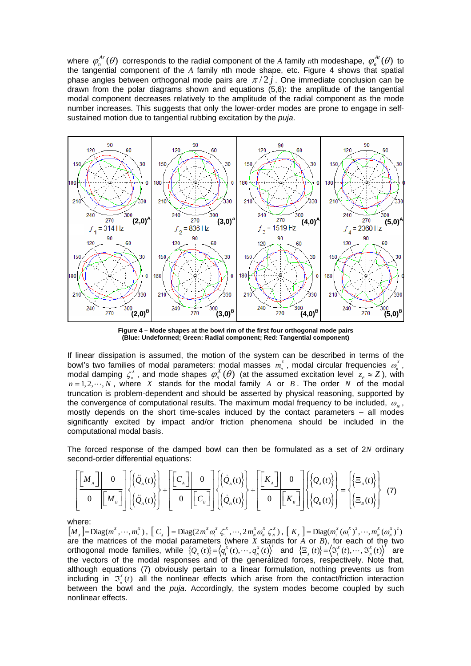where  $\varphi_n^{Ar}(\theta)$  corresponds to the radial component of the *A* family *n*th modeshape,  $\varphi_n^{Ar}(\theta)$  to the tangential component of the *A* family *n*th mode shape, etc. Figure 4 shows that spatial phase angles between orthogonal mode pairs are  $\pi/2j$ . One immediate conclusion can be drawn from the polar diagrams shown and equations (5,6): the amplitude of the tangential modal component decreases relatively to the amplitude of the radial component as the mode number increases. This suggests that only the lower-order modes are prone to engage in selfsustained motion due to tangential rubbing excitation by the *puja*.



**Figure 4 – Mode shapes at the bowl rim of the first four orthogonal mode pairs (Blue: Undeformed; Green: Radial component; Red: Tangential component)** 

If linear dissipation is assumed, the motion of the system can be described in terms of the bowl's two families of modal parameters: modal masses  $m_{n}^{X}$ , modal circular frequencies  $\omega_{n}^{X}$ , modal damping  $\zeta_n^x$ , and mode shapes  $\varphi_n^X(\theta)$  (at the assumed excitation level  $z_e \approx Z$ ), with  $n = 1, 2, \dots, N$ , where *X* stands for the modal family *A* or *B*. The order *N* of the modal truncation is problem-dependent and should be asserted by physical reasoning, supported by the convergence of computational results. The maximum modal frequency to be included,  $\omega_{N}$ , mostly depends on the short time-scales induced by the contact parameters – all modes significantly excited by impact and/or friction phenomena should be included in the computational modal basis.

The forced response of the damped bowl can then be formulated as a set of 2*N* ordinary second-order differential equations:

$$
\left[\begin{bmatrix} M_{A} \end{bmatrix} \begin{bmatrix} 0 \\ 0 \end{bmatrix} \begin{bmatrix} \{\ddot{Q}_{A}(t)\} \\ \{\ddot{Q}_{B}(t)\} \end{bmatrix} + \begin{bmatrix} \begin{bmatrix} C_{A} \end{bmatrix} \end{bmatrix} \begin{bmatrix} 0 \\ 0 \end{bmatrix} \begin{bmatrix} \{\dot{Q}_{A}(t)\} \\ \{\dot{Q}_{B}(t)\} \end{bmatrix} + \begin{bmatrix} \begin{bmatrix} K_{A} \end{bmatrix} \end{bmatrix} \begin{bmatrix} 0 \\ 0 \end{bmatrix} \begin{bmatrix} K_{B} \end{bmatrix} \end{bmatrix} \begin{bmatrix} \{Q_{A}(t)\} \\ \{Q_{B}(t)\} \end{bmatrix} = \begin{Bmatrix} \{\Xi_{A}(t)\} \\ \{\Xi_{B}(t)\} \end{Bmatrix} \tag{7}
$$

where:

 $[M_{x}] = \text{Diag}(m_{1}^{x}, \cdots, m_{n}^{x})$ ,  $[C_{x}] = \text{Diag}(2 m_{1}^{x} \omega_{1}^{x} \zeta_{1}^{x}, \cdots, 2 m_{n}^{x} \omega_{n}^{x} \zeta_{n}^{x})$ ,  $[K_{x}] = \text{Diag}(m_{1}^{x} (\omega_{1}^{x})^{2}, \cdots, m_{n}^{x} (\omega_{n}^{x})^{2})$ are the matrices of the modal parameters (where *X* stands for *A* or *B*), for each of the two orthogonal mode families, while  $\{\mathcal{Q}_x(t)\} = \langle q_1^{\lambda}(t), \cdots, q_N^{\lambda}(t) \rangle^T$  and  $\{\Xi_x(t)\} = \langle \mathfrak{I}_1^{\lambda}(t), \cdots, \mathfrak{I}_N^{\lambda}(t) \rangle^T$  are the vectors of the modal responses and of the generalized forces, respectively. Note that, although equations (7) obviously pertain to a linear formulation, nothing prevents us from including in  $\mathfrak{I}^{\mathfrak{X}}_n(t)$  all the nonlinear effects which arise from the contact/friction interaction between the bowl and the *puja*. Accordingly, the system modes become coupled by such nonlinear effects.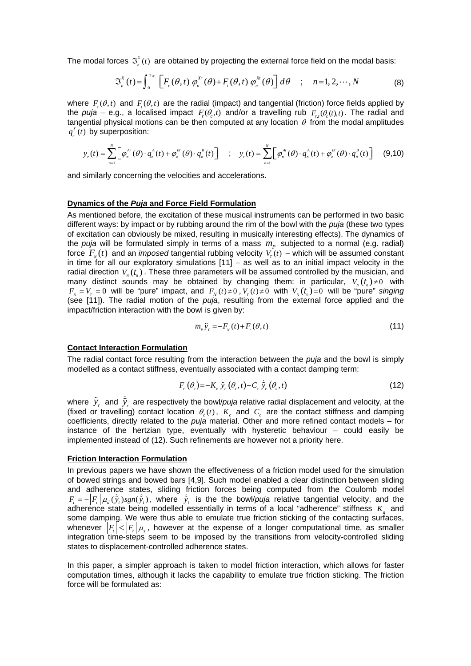The modal forces  $\mathfrak{S}^x_n(t)$  are obtained by projecting the external force field on the modal basis:

$$
\mathfrak{S}_{n}^{X}(t) = \int_{0}^{2\pi} \left[ F_{r}(\theta, t) \varphi_{n}^{X_{r}}(\theta) + F_{r}(\theta, t) \varphi_{n}^{X_{r}}(\theta) \right] d\theta \quad ; \quad n = 1, 2, \cdots, N \tag{8}
$$

where  $F(\theta,t)$  and  $F(\theta,t)$  are the radial (impact) and tangential (friction) force fields applied by the *puja – e.g., a localised impact*  $F_r(\theta, t)$  *and/or a travelling rub*  $F_{r}(\theta, t)$ *. The radial and* tangential physical motions can be then computed at any location  $\theta$  from the modal amplitudes  $q_{n}^{x}(t)$  by superposition:

$$
y_r(t) = \sum_{n=1}^N \left[ \varphi_n^{\mathcal{A}r}(\theta) \cdot q_n^{\mathcal{A}}(t) + \varphi_n^{\mathcal{B}r}(\theta) \cdot q_n^{\mathcal{B}}(t) \right] \quad ; \quad y_r(t) = \sum_{n=1}^N \left[ \varphi_n^{\mathcal{A}r}(\theta) \cdot q_n^{\mathcal{A}}(t) + \varphi_n^{\mathcal{B}r}(\theta) \cdot q_n^{\mathcal{B}}(t) \right] \tag{9.10}
$$

and similarly concerning the velocities and accelerations.

## **Dynamics of the** *Puja* **and Force Field Formulation**

As mentioned before, the excitation of these musical instruments can be performed in two basic different ways: by impact or by rubbing around the rim of the bowl with the *puja* (these two types of excitation can obviously be mixed, resulting in musically interesting effects). The dynamics of the *puja* will be formulated simply in terms of a mass  $m<sub>p</sub>$  subjected to a normal (e.g. radial) force  $F_{N}(t)$  and an *imposed* tangential rubbing velocity  $V_{T}(t)$  – which will be assumed constant in time for all our exploratory simulations [11] – as well as to an initial impact velocity in the radial direction  $V_{\nu}(t_{0})$ . These three parameters will be assumed controlled by the musician, and many distinct sounds may be obtained by changing them: in particular,  $V_u(t) \neq 0$  with  $F_y = V_\tau = 0$  will be "pure" impact, and  $F_N(t) \neq 0$ ,  $V_\tau(t) \neq 0$  with  $V_y(t_0) = 0$  will be "pure" *singing* (see [11]). The radial motion of the *puja*, resulting from the external force applied and the impact/friction interaction with the bowl is given by:

$$
m_{\rho}\ddot{y}_{\rho} = -F_{N}(t) + F_{r}(\theta, t) \tag{11}
$$

#### **Contact Interaction Formulation**

The radial contact force resulting from the interaction between the *puja* and the bowl is simply modelled as a contact stiffness, eventually associated with a contact damping term:

$$
F_{r}(\theta_{c}) = -K_{c} \tilde{y}_{r}(\theta_{c}, t) - C_{c} \dot{\tilde{y}}_{r}(\theta_{c}, t)
$$
\n(12)

where  $\,\tilde y_r\,$  and  $\,\dot{\tilde y}_r\,$  are respectively the bowl/*puja* relative radial displacement and velocity, at the (fixed or travelling) contact location  $\theta_c(t)$ ,  $K_c$  and  $C_c$  are the contact stiffness and damping coefficients, directly related to the *puja* material. Other and more refined contact models – for instance of the hertzian type, eventually with hysteretic behaviour – could easily be implemented instead of (12). Such refinements are however not a priority here.

#### **Friction Interaction Formulation**

In previous papers we have shown the effectiveness of a friction model used for the simulation of bowed strings and bowed bars [4,9]. Such model enabled a clear distinction between sliding and adherence states, sliding friction forces being computed from the Coulomb model  $F_t = -\Big|F_r\Big|\mu_d(\dot{\tilde{y}}_t)sgn(\dot{\tilde{y}}_t)$ , where  $\dot{\tilde{y}}_t$  is the the bowl/*puja* relative tangential velocity, and the adherence state being modelled essentially in terms of a local "adherence" stiffness K<sub>a</sub> and some damping. We were thus able to emulate true friction sticking of the contacting surfaces, whenever  $\left|F_r\right| < \left|F_r\right| \mu_r$ , however at the expense of a longer computational time, as smaller integration time-steps seem to be imposed by the transitions from velocity-controlled sliding states to displacement-controlled adherence states.

In this paper, a simpler approach is taken to model friction interaction, which allows for faster computation times, although it lacks the capability to emulate true friction sticking. The friction force will be formulated as: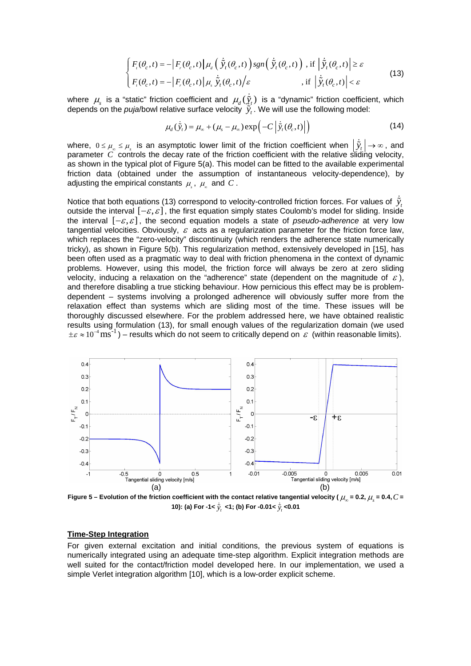$$
\begin{cases}\nF_{i}(\theta_{c},t) = -\left|F_{i}(\theta_{c},t)\right| \mu_{d}\left(\dot{\tilde{y}}_{t}(\theta_{c},t)\right)sgn\left(\dot{\tilde{y}}_{t}(\theta_{c},t)\right), \text{ if } \left|\dot{\tilde{y}}_{t}(\theta_{c},t)\right| \geq \varepsilon \\
F_{i}(\theta_{c},t) = -\left|F_{i}(\theta_{c},t)\right| \mu_{s} \dot{\tilde{y}}_{t}(\theta_{c},t) / \varepsilon, \text{ if } \left|\dot{\tilde{y}}_{t}(\theta_{c},t)\right| < \varepsilon\n\end{cases}
$$
\n(13)

where  $\mu_s$  is a "static" friction coefficient and  $\mu_d(\dot{\tilde{\chi}}_t)$  is a "dynamic" friction coefficient, which depends on the *puja*/bowl relative surface velocity  $\tilde{y}_t$ . We will use the following model:

$$
\mu_d(\dot{\tilde{y}}_t) = \mu_\infty + (\mu_s - \mu_\infty) \exp\left(-C \left| \dot{\tilde{y}}_t(\theta_c, t) \right| \right) \tag{14}
$$

where,  $0\leq\mu_{_{\infty}}\leq\mu_{_s}$  is an asymptotic lower limit of the friction coefficient when  $\left|\,\ddot{\tilde{y}}_t\,\right|\to\infty$  , and parameter *C* controls the decay rate of the friction coefficient with the relative sliding velocity, as shown in the typical plot of Figure 5(a). This model can be fitted to the available experimental friction data (obtained under the assumption of instantaneous velocity-dependence), by adjusting the empirical constants  $\mu_s$ ,  $\mu_w$  and C.

Notice that both equations (13) correspond to velocity-controlled friction forces. For values of  $\dot{\tilde{y}}_i$ outside the interval  $[-\varepsilon, \varepsilon]$ , the first equation simply states Coulomb's model for sliding. Inside the interval  $[-\varepsilon, \varepsilon]$ , the second equation models a state of *pseudo-adherence* at very low tangential velocities. Obviously,  $\varepsilon$  acts as a regularization parameter for the friction force law, which replaces the "zero-velocity" discontinuity (which renders the adherence state numerically tricky), as shown in Figure 5(b). This regularization method, extensively developed in [15], has been often used as a pragmatic way to deal with friction phenomena in the context of dynamic problems. However, using this model, the friction force will always be zero at zero sliding velocity, inducing a relaxation on the "adherence" state (dependent on the magnitude of  $\varepsilon$ ), and therefore disabling a true sticking behaviour. How pernicious this effect may be is problemdependent – systems involving a prolonged adherence will obviously suffer more from the relaxation effect than systems which are sliding most of the time. These issues will be thoroughly discussed elsewhere. For the problem addressed here, we have obtained realistic results using formulation (13), for small enough values of the regularization domain (we used  $\pm \varepsilon \approx 10^{-4} \text{ ms}^{-1}$ ) – results which do not seem to critically depend on  $\varepsilon$  (within reasonable limits).



Figure 5 – Evolution of the friction coefficient with the contact relative tangential velocity ( $\mu_s$  = 0.2,  $\mu_s$  = 0.4,  $C$  = **10): (a) For -1<** *<sup>t</sup> y*  **<1; (b) For -0.01<** *<sup>t</sup> <sup>y</sup>* **<0.01** 

#### **Time-Step Integration**

For given external excitation and initial conditions, the previous system of equations is numerically integrated using an adequate time-step algorithm. Explicit integration methods are well suited for the contact/friction model developed here. In our implementation, we used a simple Verlet integration algorithm [10], which is a low-order explicit scheme.